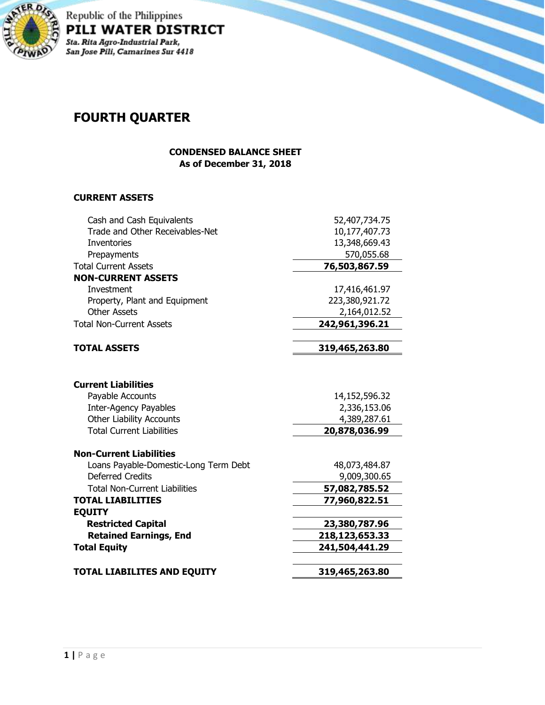

Republic of the Philippines<br>PILI WATER DISTRICT -<br>Sta. Rita Agro-Industrial Park,<br>San Jose Pili, Camarines Sur 4418

# **FOURTH QUARTER**

### **CONDENSED BALANCE SHEET As of December 31, 2018**

## **CURRENT ASSETS**

| Cash and Cash Equivalents             | 52,407,734.75  |  |
|---------------------------------------|----------------|--|
| Trade and Other Receivables-Net       | 10,177,407.73  |  |
| <b>Inventories</b>                    | 13,348,669.43  |  |
| Prepayments                           | 570,055.68     |  |
| <b>Total Current Assets</b>           | 76,503,867.59  |  |
| <b>NON-CURRENT ASSETS</b>             |                |  |
| Investment                            | 17,416,461.97  |  |
| Property, Plant and Equipment         | 223,380,921.72 |  |
| <b>Other Assets</b>                   | 2,164,012.52   |  |
| <b>Total Non-Current Assets</b>       | 242,961,396.21 |  |
|                                       |                |  |
| <b>TOTAL ASSETS</b>                   | 319,465,263.80 |  |
|                                       |                |  |
| <b>Current Liabilities</b>            |                |  |
| Payable Accounts                      | 14,152,596.32  |  |
| <b>Inter-Agency Payables</b>          | 2,336,153.06   |  |
| <b>Other Liability Accounts</b>       | 4,389,287.61   |  |
| <b>Total Current Liabilities</b>      | 20,878,036.99  |  |
| <b>Non-Current Liabilities</b>        |                |  |
| Loans Payable-Domestic-Long Term Debt | 48,073,484.87  |  |
| <b>Deferred Credits</b>               | 9,009,300.65   |  |
| <b>Total Non-Current Liabilities</b>  | 57,082,785.52  |  |
| <b>TOTAL LIABILITIES</b>              | 77,960,822.51  |  |
| <b>EQUITY</b>                         |                |  |
| <b>Restricted Capital</b>             | 23,380,787.96  |  |
| <b>Retained Earnings, End</b>         | 218,123,653.33 |  |
| <b>Total Equity</b>                   | 241,504,441.29 |  |
|                                       |                |  |
| <b>TOTAL LIABILITES AND EQUITY</b>    | 319,465,263.80 |  |